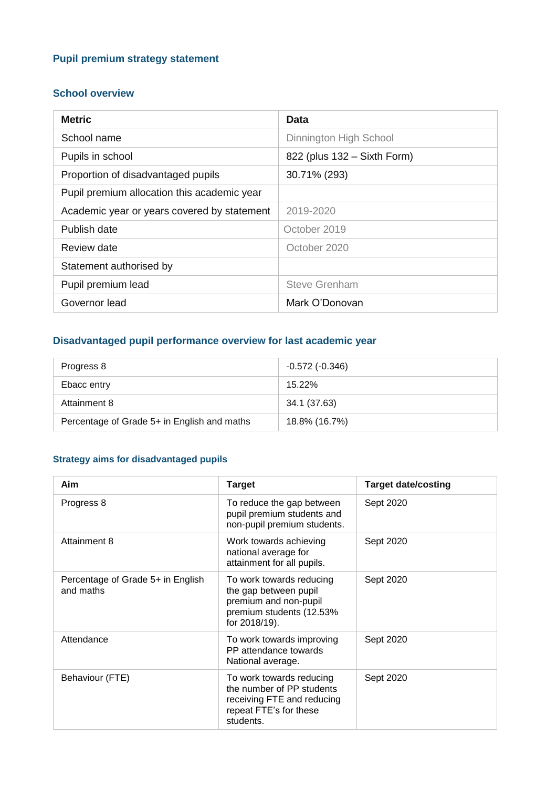### **Pupil premium strategy statement**

#### **School overview**

| <b>Metric</b>                               | Data                        |  |  |
|---------------------------------------------|-----------------------------|--|--|
| School name                                 | Dinnington High School      |  |  |
| Pupils in school                            | 822 (plus 132 - Sixth Form) |  |  |
| Proportion of disadvantaged pupils          | 30.71% (293)                |  |  |
| Pupil premium allocation this academic year |                             |  |  |
| Academic year or years covered by statement | 2019-2020                   |  |  |
| Publish date                                | October 2019                |  |  |
| Review date                                 | October 2020                |  |  |
| Statement authorised by                     |                             |  |  |
| Pupil premium lead                          | <b>Steve Grenham</b>        |  |  |
| Governor lead                               | Mark O'Donovan              |  |  |

## **Disadvantaged pupil performance overview for last academic year**

| Progress 8                                  | $-0.572$ ( $-0.346$ ) |
|---------------------------------------------|-----------------------|
| Ebacc entry                                 | 15.22%                |
| Attainment 8                                | 34.1 (37.63)          |
| Percentage of Grade 5+ in English and maths | 18.8% (16.7%)         |

### **Strategy aims for disadvantaged pupils**

| Aim                                            | <b>Target</b>                                                                                                              | <b>Target date/costing</b> |
|------------------------------------------------|----------------------------------------------------------------------------------------------------------------------------|----------------------------|
| Progress 8                                     | To reduce the gap between<br>pupil premium students and<br>non-pupil premium students.                                     | Sept 2020                  |
| Attainment 8                                   | Work towards achieving<br>national average for<br>attainment for all pupils.                                               | Sept 2020                  |
| Percentage of Grade 5+ in English<br>and maths | To work towards reducing<br>the gap between pupil<br>premium and non-pupil<br>premium students (12.53%<br>for 2018/19).    | Sept 2020                  |
| Attendance                                     | To work towards improving<br>PP attendance towards<br>National average.                                                    | Sept 2020                  |
| Behaviour (FTE)                                | To work towards reducing<br>the number of PP students<br>receiving FTE and reducing<br>repeat FTE's for these<br>students. | Sept 2020                  |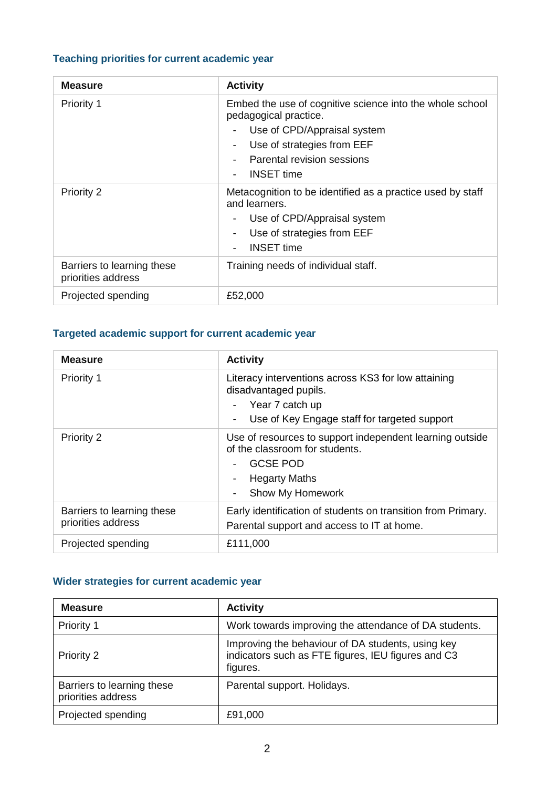## **Teaching priorities for current academic year**

| <b>Measure</b>                                   | <b>Activity</b>                                                                                                                                                                                                                                           |
|--------------------------------------------------|-----------------------------------------------------------------------------------------------------------------------------------------------------------------------------------------------------------------------------------------------------------|
| Priority 1                                       | Embed the use of cognitive science into the whole school<br>pedagogical practice.<br>Use of CPD/Appraisal system<br>$\overline{\phantom{a}}$<br>Use of strategies from EEF<br>Parental revision sessions<br><b>INSET</b> time<br>$\overline{\phantom{a}}$ |
| Priority 2                                       | Metacognition to be identified as a practice used by staff<br>and learners.<br>Use of CPD/Appraisal system<br>۰<br>Use of strategies from EEF<br><b>INSET time</b><br>$\overline{\phantom{a}}$                                                            |
| Barriers to learning these<br>priorities address | Training needs of individual staff.                                                                                                                                                                                                                       |
| Projected spending                               | £52,000                                                                                                                                                                                                                                                   |

### **Targeted academic support for current academic year**

| <b>Measure</b>                                   | <b>Activity</b>                                                                                                                                                               |
|--------------------------------------------------|-------------------------------------------------------------------------------------------------------------------------------------------------------------------------------|
| Priority 1                                       | Literacy interventions across KS3 for low attaining<br>disadvantaged pupils.<br>- Year 7 catch up<br>Use of Key Engage staff for targeted support<br>$\overline{\phantom{a}}$ |
| <b>Priority 2</b>                                | Use of resources to support independent learning outside<br>of the classroom for students.<br>GCSE POD<br><b>Hegarty Maths</b><br>Show My Homework                            |
| Barriers to learning these<br>priorities address | Early identification of students on transition from Primary.<br>Parental support and access to IT at home.                                                                    |
| Projected spending                               | £111,000                                                                                                                                                                      |

# **Wider strategies for current academic year**

| <b>Measure</b>                                   | <b>Activity</b>                                                                                                     |
|--------------------------------------------------|---------------------------------------------------------------------------------------------------------------------|
| <b>Priority 1</b>                                | Work towards improving the attendance of DA students.                                                               |
| <b>Priority 2</b>                                | Improving the behaviour of DA students, using key<br>indicators such as FTE figures, IEU figures and C3<br>figures. |
| Barriers to learning these<br>priorities address | Parental support. Holidays.                                                                                         |
| Projected spending                               | £91,000                                                                                                             |